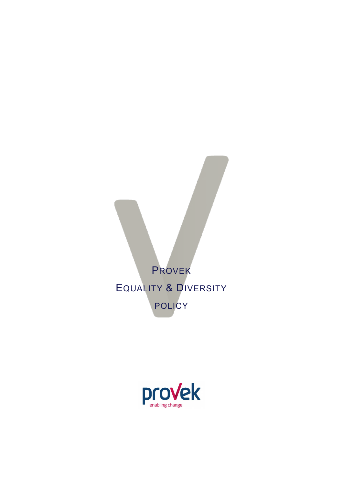

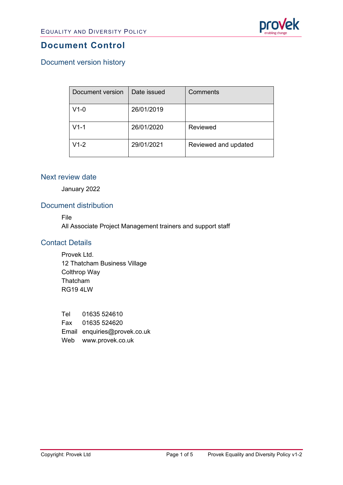

## **Document Control**

## Document version history

| <b>Document version</b> | Date issued | Comments             |
|-------------------------|-------------|----------------------|
| $V1-0$                  | 26/01/2019  |                      |
| $V1-1$                  | 26/01/2020  | Reviewed             |
| $V1-2$                  | 29/01/2021  | Reviewed and updated |

#### Next review date

January 2022

### Document distribution

File

All Associate Project Management trainers and support staff

#### Contact Details

Provek Ltd. 12 Thatcham Business Village Colthrop Way Thatcham RG19 4LW

Tel 01635 524610 Fax 01635 524620 Email enquiries@provek.co.uk Web [www.provek.co.uk](http://www.provek.co.uk/)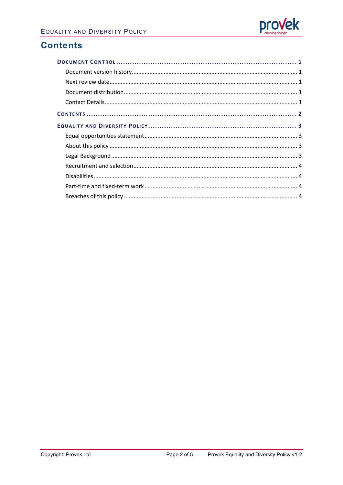

## **Contents**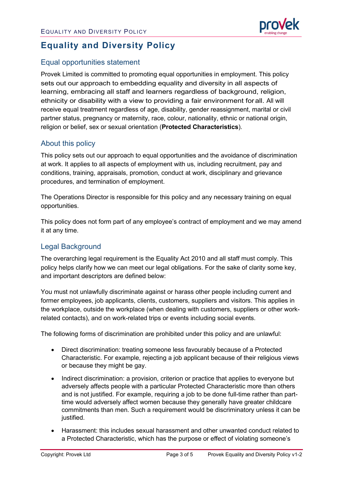

# **Equality and Diversity Policy**

## Equal opportunities statement

Provek Limited is committed to promoting equal opportunities in employment. This policy sets out our approach to embedding equality and diversity in all aspects of learning, embracing all staff and learners regardless of background, religion, ethnicity or disability with a view to providing a fair environment forall. All will receive equal treatment regardless of age, disability, gender reassignment, marital or civil partner status, pregnancy or maternity, race, colour, nationality, ethnic or national origin, religion or belief, sex or sexual orientation (**Protected Characteristics**).

### About this policy

This policy sets out our approach to equal opportunities and the avoidance of discrimination at work. It applies to all aspects of employment with us, including recruitment, pay and conditions, training, appraisals, promotion, conduct at work, disciplinary and grievance procedures, and termination of employment.

The Operations Director is responsible for this policy and any necessary training on equal opportunities.

This policy does not form part of any employee's contract of employment and we may amend it at any time.

## Legal Background

The overarching legal requirement is the Equality Act 2010 and all staff must comply. This policy helps clarify how we can meet our legal obligations. For the sake of clarity some key, and important descriptors are defined below:

You must not unlawfully discriminate against or harass other people including current and former employees, job applicants, clients, customers, suppliers and visitors. This applies in the workplace, outside the workplace (when dealing with customers, suppliers or other workrelated contacts), and on work-related trips or events including social events.

The following forms of discrimination are prohibited under this policy and are unlawful:

- Direct discrimination: treating someone less favourably because of a Protected Characteristic. For example, rejecting a job applicant because of their religious views or because they might be gay.
- Indirect discrimination: a provision, criterion or practice that applies to everyone but adversely affects people with a particular Protected Characteristic more than others and is not justified. For example, requiring a job to be done full-time rather than parttime would adversely affect women because they generally have greater childcare commitments than men. Such a requirement would be discriminatory unless it can be justified.
- Harassment: this includes sexual harassment and other unwanted conduct related to a Protected Characteristic, which has the purpose or effect of violating someone's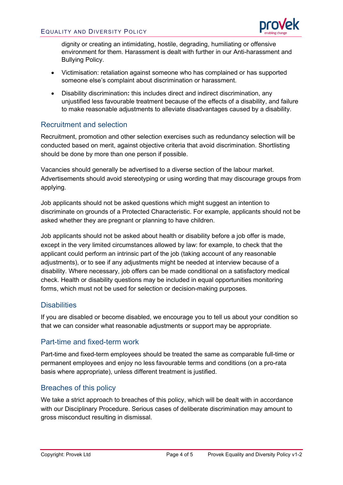

dignity or creating an intimidating, hostile, degrading, humiliating or offensive environment for them. Harassment is dealt with further in our Anti-harassment and Bullying Policy.

- Victimisation: retaliation against someone who has complained or has supported someone else's complaint about discrimination or harassment.
- Disability discrimination**:** this includes direct and indirect discrimination, any unjustified less favourable treatment because of the effects of a disability, and failure to make reasonable adjustments to alleviate disadvantages caused by a disability.

## Recruitment and selection

Recruitment, promotion and other selection exercises such as redundancy selection will be conducted based on merit, against objective criteria that avoid discrimination. Shortlisting should be done by more than one person if possible.

Vacancies should generally be advertised to a diverse section of the labour market. Advertisements should avoid stereotyping or using wording that may discourage groups from applying.

Job applicants should not be asked questions which might suggest an intention to discriminate on grounds of a Protected Characteristic. For example, applicants should not be asked whether they are pregnant or planning to have children.

Job applicants should not be asked about health or disability before a job offer is made, except in the very limited circumstances allowed by law: for example, to check that the applicant could perform an intrinsic part of the job (taking account of any reasonable adjustments), or to see if any adjustments might be needed at interview because of a disability. Where necessary, job offers can be made conditional on a satisfactory medical check. Health or disability questions may be included in equal opportunities monitoring forms, which must not be used for selection or decision-making purposes.

### **Disabilities**

If you are disabled or become disabled, we encourage you to tell us about your condition so that we can consider what reasonable adjustments or support may be appropriate.

### Part-time and fixed-term work

Part-time and fixed-term employees should be treated the same as comparable full-time or permanent employees and enjoy no less favourable terms and conditions (on a pro-rata basis where appropriate), unless different treatment is justified.

### Breaches of this policy

We take a strict approach to breaches of this policy, which will be dealt with in accordance with our Disciplinary Procedure. Serious cases of deliberate discrimination may amount to gross misconduct resulting in dismissal.